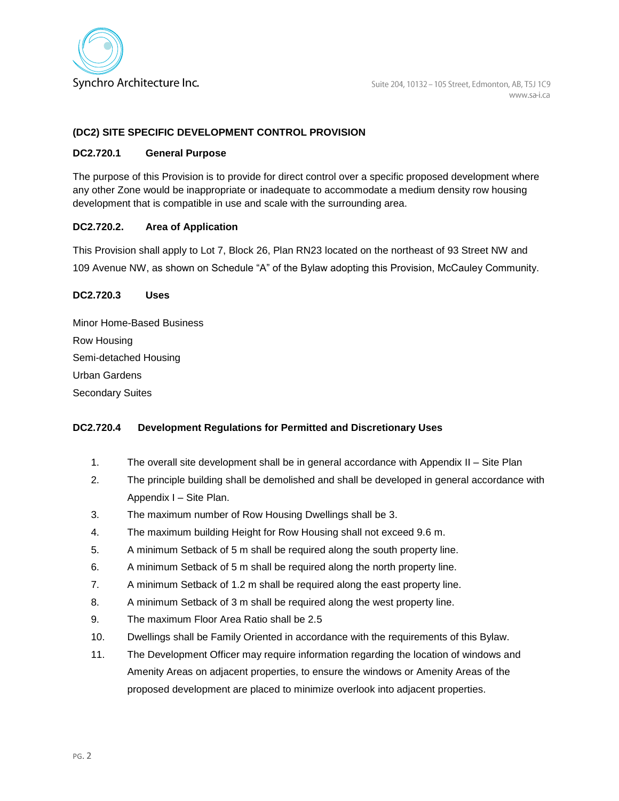

### **(DC2) SITE SPECIFIC DEVELOPMENT CONTROL PROVISION**

#### **DC2.720.1 General Purpose**

The purpose of this Provision is to provide for direct control over a specific proposed development where any other Zone would be inappropriate or inadequate to accommodate a medium density row housing development that is compatible in use and scale with the surrounding area.

### **DC2.720.2. Area of Application**

This Provision shall apply to Lot 7, Block 26, Plan RN23 located on the northeast of 93 Street NW and 109 Avenue NW, as shown on Schedule "A" of the Bylaw adopting this Provision, McCauley Community.

#### **DC2.720.3 Uses**

| <b>Minor Home-Based Business</b> |
|----------------------------------|
| Row Housing                      |
| Semi-detached Housing            |
| <b>Urban Gardens</b>             |
| <b>Secondary Suites</b>          |

### **DC2.720.4 Development Regulations for Permitted and Discretionary Uses**

- 1. The overall site development shall be in general accordance with Appendix II Site Plan
- 2. The principle building shall be demolished and shall be developed in general accordance with Appendix I – Site Plan.
- 3. The maximum number of Row Housing Dwellings shall be 3.
- 4. The maximum building Height for Row Housing shall not exceed 9.6 m.
- 5. A minimum Setback of 5 m shall be required along the south property line.
- 6. A minimum Setback of 5 m shall be required along the north property line.
- 7. A minimum Setback of 1.2 m shall be required along the east property line.
- 8. A minimum Setback of 3 m shall be required along the west property line.
- 9. The maximum Floor Area Ratio shall be 2.5
- 10. Dwellings shall be Family Oriented in accordance with the requirements of this Bylaw.
- 11. The Development Officer may require information regarding the location of windows and Amenity Areas on adjacent properties, to ensure the windows or Amenity Areas of the proposed development are placed to minimize overlook into adjacent properties.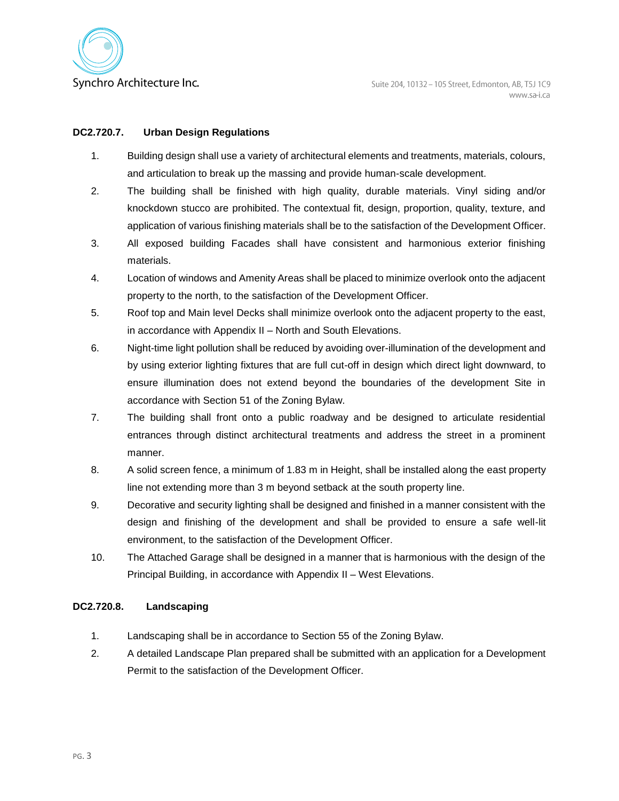

## **DC2.720.7. Urban Design Regulations**

- 1. Building design shall use a variety of architectural elements and treatments, materials, colours, and articulation to break up the massing and provide human-scale development.
- 2. The building shall be finished with high quality, durable materials. Vinyl siding and/or knockdown stucco are prohibited. The contextual fit, design, proportion, quality, texture, and application of various finishing materials shall be to the satisfaction of the Development Officer.
- 3. All exposed building Facades shall have consistent and harmonious exterior finishing materials.
- 4. Location of windows and Amenity Areas shall be placed to minimize overlook onto the adjacent property to the north, to the satisfaction of the Development Officer.
- 5. Roof top and Main level Decks shall minimize overlook onto the adjacent property to the east, in accordance with Appendix II – North and South Elevations.
- 6. Night-time light pollution shall be reduced by avoiding over-illumination of the development and by using exterior lighting fixtures that are full cut-off in design which direct light downward, to ensure illumination does not extend beyond the boundaries of the development Site in accordance with Section 51 of the Zoning Bylaw.
- 7. The building shall front onto a public roadway and be designed to articulate residential entrances through distinct architectural treatments and address the street in a prominent manner.
- 8. A solid screen fence, a minimum of 1.83 m in Height, shall be installed along the east property line not extending more than 3 m beyond setback at the south property line.
- 9. Decorative and security lighting shall be designed and finished in a manner consistent with the design and finishing of the development and shall be provided to ensure a safe well-lit environment, to the satisfaction of the Development Officer.
- 10. The Attached Garage shall be designed in a manner that is harmonious with the design of the Principal Building, in accordance with Appendix II – West Elevations.

# **DC2.720.8. Landscaping**

- 1. Landscaping shall be in accordance to Section 55 of the Zoning Bylaw.
- 2. A detailed Landscape Plan prepared shall be submitted with an application for a Development Permit to the satisfaction of the Development Officer.